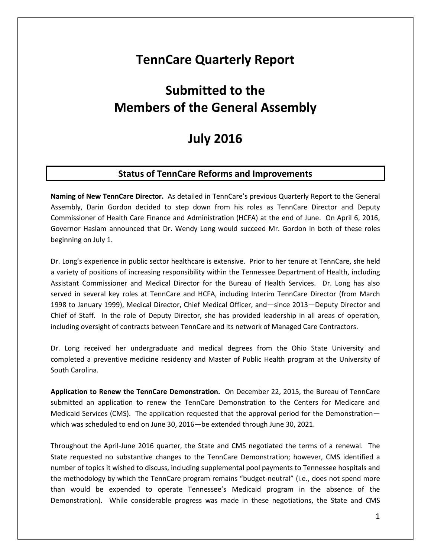# **TennCare Quarterly Report**

# **Submitted to the Members of the General Assembly**

# **July 2016**

# **Status of TennCare Reforms and Improvements**

**Naming of New TennCare Director.** As detailed in TennCare's previous Quarterly Report to the General Assembly, Darin Gordon decided to step down from his roles as TennCare Director and Deputy Commissioner of Health Care Finance and Administration (HCFA) at the end of June. On April 6, 2016, Governor Haslam announced that Dr. Wendy Long would succeed Mr. Gordon in both of these roles beginning on July 1.

Dr. Long's experience in public sector healthcare is extensive. Prior to her tenure at TennCare, she held a variety of positions of increasing responsibility within the Tennessee Department of Health, including Assistant Commissioner and Medical Director for the Bureau of Health Services. Dr. Long has also served in several key roles at TennCare and HCFA, including Interim TennCare Director (from March 1998 to January 1999), Medical Director, Chief Medical Officer, and—since 2013—Deputy Director and Chief of Staff. In the role of Deputy Director, she has provided leadership in all areas of operation, including oversight of contracts between TennCare and its network of Managed Care Contractors.

Dr. Long received her undergraduate and medical degrees from the Ohio State University and completed a preventive medicine residency and Master of Public Health program at the University of South Carolina.

**Application to Renew the TennCare Demonstration.** On December 22, 2015, the Bureau of TennCare submitted an application to renew the TennCare Demonstration to the Centers for Medicare and Medicaid Services (CMS). The application requested that the approval period for the Demonstration which was scheduled to end on June 30, 2016—be extended through June 30, 2021.

Throughout the April-June 2016 quarter, the State and CMS negotiated the terms of a renewal. The State requested no substantive changes to the TennCare Demonstration; however, CMS identified a number of topics it wished to discuss, including supplemental pool payments to Tennessee hospitals and the methodology by which the TennCare program remains "budget-neutral" (i.e., does not spend more than would be expended to operate Tennessee's Medicaid program in the absence of the Demonstration). While considerable progress was made in these negotiations, the State and CMS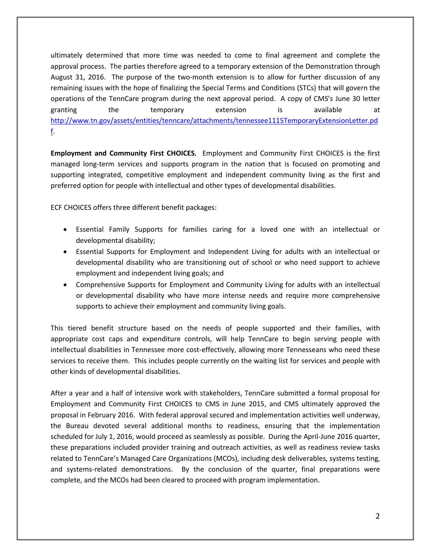ultimately determined that more time was needed to come to final agreement and complete the approval process. The parties therefore agreed to a temporary extension of the Demonstration through August 31, 2016. The purpose of the two-month extension is to allow for further discussion of any remaining issues with the hope of finalizing the Special Terms and Conditions (STCs) that will govern the operations of the TennCare program during the next approval period. A copy of CMS's June 30 letter granting the temporary extension is available at [http://www.tn.gov/assets/entities/tenncare/attachments/tennessee1115TemporaryExtensionLetter.pd](http://www.tn.gov/assets/entities/tenncare/attachments/tennessee1115TemporaryExtensionLetter.pdf) [f.](http://www.tn.gov/assets/entities/tenncare/attachments/tennessee1115TemporaryExtensionLetter.pdf)

**Employment and Community First CHOICES.** Employment and Community First CHOICES is the first managed long-term services and supports program in the nation that is focused on promoting and supporting integrated, competitive employment and independent community living as the first and preferred option for people with intellectual and other types of developmental disabilities.

ECF CHOICES offers three different benefit packages:

- Essential Family Supports for families caring for a loved one with an intellectual or developmental disability;
- Essential Supports for Employment and Independent Living for adults with an intellectual or developmental disability who are transitioning out of school or who need support to achieve employment and independent living goals; and
- Comprehensive Supports for Employment and Community Living for adults with an intellectual or developmental disability who have more intense needs and require more comprehensive supports to achieve their employment and community living goals.

This tiered benefit structure based on the needs of people supported and their families, with appropriate cost caps and expenditure controls, will help TennCare to begin serving people with intellectual disabilities in Tennessee more cost-effectively, allowing more Tennesseans who need these services to receive them. This includes people currently on the waiting list for services and people with other kinds of developmental disabilities.

After a year and a half of intensive work with stakeholders, TennCare submitted a formal proposal for Employment and Community First CHOICES to CMS in June 2015, and CMS ultimately approved the proposal in February 2016. With federal approval secured and implementation activities well underway, the Bureau devoted several additional months to readiness, ensuring that the implementation scheduled for July 1, 2016, would proceed as seamlessly as possible. During the April-June 2016 quarter, these preparations included provider training and outreach activities, as well as readiness review tasks related to TennCare's Managed Care Organizations (MCOs), including desk deliverables, systems testing, and systems-related demonstrations. By the conclusion of the quarter, final preparations were complete, and the MCOs had been cleared to proceed with program implementation.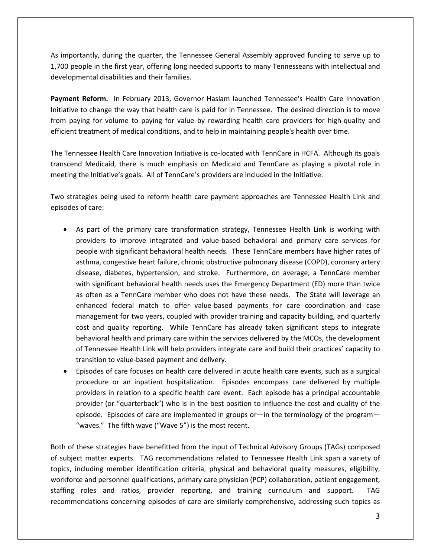As importantly, during the quarter, the Tennessee General Assembly approved funding to serve up to 1,700 people in the first year, offering long needed supports to many Tennesseans with intellectual and developmental disabilities and their families.

**Payment Reform.** In February 2013, Governor Haslam launched Tennessee's Health Care Innovation Initiative to change the way that health care is paid for in Tennessee. The desired direction is to move from paying for volume to paying for value by rewarding health care providers for high-quality and efficient treatment of medical conditions, and to help in maintaining people's health over time.

The Tennessee Health Care Innovation Initiative is co-located with TennCare in HCFA. Although its goals transcend Medicaid, there is much emphasis on Medicaid and TennCare as playing a pivotal role in meeting the Initiative's goals. All of TennCare's providers are included in the Initiative.

Two strategies being used to reform health care payment approaches are Tennessee Health Link and episodes of care:

- As part of the primary care transformation strategy, Tennessee Health Link is working with providers to improve integrated and value-based behavioral and primary care services for people with significant behavioral health needs. These TennCare members have higher rates of asthma, congestive heart failure, chronic obstructive pulmonary disease (COPD), coronary artery disease, diabetes, hypertension, and stroke. Furthermore, on average, a TennCare member with significant behavioral health needs uses the Emergency Department (ED) more than twice as often as a TennCare member who does not have these needs. The State will leverage an enhanced federal match to offer value-based payments for care coordination and case management for two years, coupled with provider training and capacity building, and quarterly cost and quality reporting. While TennCare has already taken significant steps to integrate behavioral health and primary care within the services delivered by the MCOs, the development of Tennessee Health Link will help providers integrate care and build their practices' capacity to transition to value-based payment and delivery.
- Episodes of care focuses on health care delivered in acute health care events, such as a surgical procedure or an inpatient hospitalization. Episodes encompass care delivered by multiple providers in relation to a specific health care event. Each episode has a principal accountable provider (or "quarterback") who is in the best position to influence the cost and quality of the episode. Episodes of care are implemented in groups or—in the terminology of the program— "waves." The fifth wave ("Wave 5") is the most recent.

Both of these strategies have benefitted from the input of Technical Advisory Groups (TAGs) composed of subject matter experts. TAG recommendations related to Tennessee Health Link span a variety of topics, including member identification criteria, physical and behavioral quality measures, eligibility, workforce and personnel qualifications, primary care physician (PCP) collaboration, patient engagement, staffing roles and ratios, provider reporting, and training curriculum and support. TAG recommendations concerning episodes of care are similarly comprehensive, addressing such topics as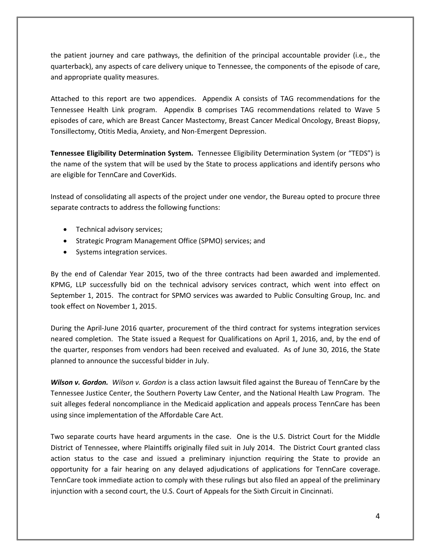the patient journey and care pathways, the definition of the principal accountable provider (i.e., the quarterback), any aspects of care delivery unique to Tennessee, the components of the episode of care, and appropriate quality measures.

Attached to this report are two appendices. Appendix A consists of TAG recommendations for the Tennessee Health Link program. Appendix B comprises TAG recommendations related to Wave 5 episodes of care, which are Breast Cancer Mastectomy, Breast Cancer Medical Oncology, Breast Biopsy, Tonsillectomy, Otitis Media, Anxiety, and Non-Emergent Depression.

**Tennessee Eligibility Determination System.** Tennessee Eligibility Determination System (or "TEDS") is the name of the system that will be used by the State to process applications and identify persons who are eligible for TennCare and CoverKids.

Instead of consolidating all aspects of the project under one vendor, the Bureau opted to procure three separate contracts to address the following functions:

- Technical advisory services;
- Strategic Program Management Office (SPMO) services; and
- Systems integration services.

By the end of Calendar Year 2015, two of the three contracts had been awarded and implemented. KPMG, LLP successfully bid on the technical advisory services contract, which went into effect on September 1, 2015. The contract for SPMO services was awarded to Public Consulting Group, Inc. and took effect on November 1, 2015.

During the April-June 2016 quarter, procurement of the third contract for systems integration services neared completion. The State issued a Request for Qualifications on April 1, 2016, and, by the end of the quarter, responses from vendors had been received and evaluated. As of June 30, 2016, the State planned to announce the successful bidder in July.

*Wilson v. Gordon. Wilson v. Gordon* is a class action lawsuit filed against the Bureau of TennCare by the Tennessee Justice Center, the Southern Poverty Law Center, and the National Health Law Program. The suit alleges federal noncompliance in the Medicaid application and appeals process TennCare has been using since implementation of the Affordable Care Act.

Two separate courts have heard arguments in the case. One is the U.S. District Court for the Middle District of Tennessee, where Plaintiffs originally filed suit in July 2014. The District Court granted class action status to the case and issued a preliminary injunction requiring the State to provide an opportunity for a fair hearing on any delayed adjudications of applications for TennCare coverage. TennCare took immediate action to comply with these rulings but also filed an appeal of the preliminary injunction with a second court, the U.S. Court of Appeals for the Sixth Circuit in Cincinnati.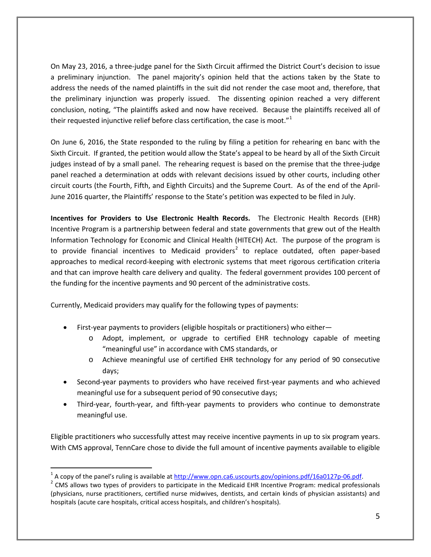On May 23, 2016, a three-judge panel for the Sixth Circuit affirmed the District Court's decision to issue a preliminary injunction. The panel majority's opinion held that the actions taken by the State to address the needs of the named plaintiffs in the suit did not render the case moot and, therefore, that the preliminary injunction was properly issued. The dissenting opinion reached a very different conclusion, noting, "The plaintiffs asked and now have received. Because the plaintiffs received all of their requested injunctive relief before class certification, the case is moot. $1^{n}$  $1^{n}$ 

On June 6, 2016, the State responded to the ruling by filing a petition for rehearing en banc with the Sixth Circuit. If granted, the petition would allow the State's appeal to be heard by all of the Sixth Circuit judges instead of by a small panel. The rehearing request is based on the premise that the three-judge panel reached a determination at odds with relevant decisions issued by other courts, including other circuit courts (the Fourth, Fifth, and Eighth Circuits) and the Supreme Court. As of the end of the April-June 2016 quarter, the Plaintiffs' response to the State's petition was expected to be filed in July.

**Incentives for Providers to Use Electronic Health Records.** The Electronic Health Records (EHR) Incentive Program is a partnership between federal and state governments that grew out of the Health Information Technology for Economic and Clinical Health (HITECH) Act. The purpose of the program is to provide financial incentives to Medicaid providers<sup>[2](#page-4-1)</sup> to replace outdated, often paper-based approaches to medical record-keeping with electronic systems that meet rigorous certification criteria and that can improve health care delivery and quality. The federal government provides 100 percent of the funding for the incentive payments and 90 percent of the administrative costs.

Currently, Medicaid providers may qualify for the following types of payments:

 $\overline{a}$ 

- First-year payments to providers (eligible hospitals or practitioners) who either
	- o Adopt, implement, or upgrade to certified EHR technology capable of meeting "meaningful use" in accordance with CMS standards, or
	- o Achieve meaningful use of certified EHR technology for any period of 90 consecutive days;
- Second-year payments to providers who have received first-year payments and who achieved meaningful use for a subsequent period of 90 consecutive days;
- Third-year, fourth-year, and fifth-year payments to providers who continue to demonstrate meaningful use.

Eligible practitioners who successfully attest may receive incentive payments in up to six program years. With CMS approval, TennCare chose to divide the full amount of incentive payments available to eligible

<span id="page-4-1"></span><span id="page-4-0"></span><sup>&</sup>lt;sup>1</sup> A copy of the panel's ruling is available at  $\frac{http://www.opn.ca6.uscourts.gov/opinions.pdf/16a0127p-06.pdf}{$ <br><sup>2</sup> CMS allows two types of providers to participate in the Medicaid EHR Incentive Program: medical professionals (physicians, nurse practitioners, certified nurse midwives, dentists, and certain kinds of physician assistants) and hospitals (acute care hospitals, critical access hospitals, and children's hospitals).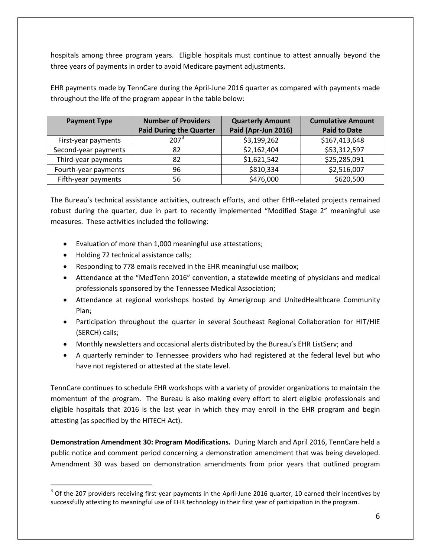hospitals among three program years. Eligible hospitals must continue to attest annually beyond the three years of payments in order to avoid Medicare payment adjustments.

EHR payments made by TennCare during the April-June 2016 quarter as compared with payments made throughout the life of the program appear in the table below:

| <b>Payment Type</b>  | <b>Number of Providers</b><br><b>Paid During the Quarter</b> | <b>Quarterly Amount</b><br>Paid (Apr-Jun 2016) | <b>Cumulative Amount</b><br><b>Paid to Date</b> |
|----------------------|--------------------------------------------------------------|------------------------------------------------|-------------------------------------------------|
| First-year payments  | 207 <sup>3</sup>                                             | \$3,199,262                                    | \$167,413,648                                   |
| Second-year payments | 82                                                           | \$2,162,404                                    | \$53,312,597                                    |
| Third-year payments  | 82                                                           | \$1,621,542                                    | \$25,285,091                                    |
| Fourth-year payments | 96                                                           | \$810,334                                      | \$2,516,007                                     |
| Fifth-year payments  | 56                                                           | \$476,000                                      | \$620,500                                       |

The Bureau's technical assistance activities, outreach efforts, and other EHR-related projects remained robust during the quarter, due in part to recently implemented "Modified Stage 2" meaningful use measures. These activities included the following:

- Evaluation of more than 1,000 meaningful use attestations;
- Holding 72 technical assistance calls;

 $\overline{a}$ 

- Responding to 778 emails received in the EHR meaningful use mailbox;
- Attendance at the "MedTenn 2016" convention, a statewide meeting of physicians and medical professionals sponsored by the Tennessee Medical Association;
- Attendance at regional workshops hosted by Amerigroup and UnitedHealthcare Community Plan;
- Participation throughout the quarter in several Southeast Regional Collaboration for HIT/HIE (SERCH) calls;
- Monthly newsletters and occasional alerts distributed by the Bureau's EHR ListServ; and
- A quarterly reminder to Tennessee providers who had registered at the federal level but who have not registered or attested at the state level.

TennCare continues to schedule EHR workshops with a variety of provider organizations to maintain the momentum of the program. The Bureau is also making every effort to alert eligible professionals and eligible hospitals that 2016 is the last year in which they may enroll in the EHR program and begin attesting (as specified by the HITECH Act).

**Demonstration Amendment 30: Program Modifications.** During March and April 2016, TennCare held a public notice and comment period concerning a demonstration amendment that was being developed. Amendment 30 was based on demonstration amendments from prior years that outlined program

<span id="page-5-0"></span> $3$  Of the 207 providers receiving first-year payments in the April-June 2016 quarter, 10 earned their incentives by successfully attesting to meaningful use of EHR technology in their first year of participation in the program.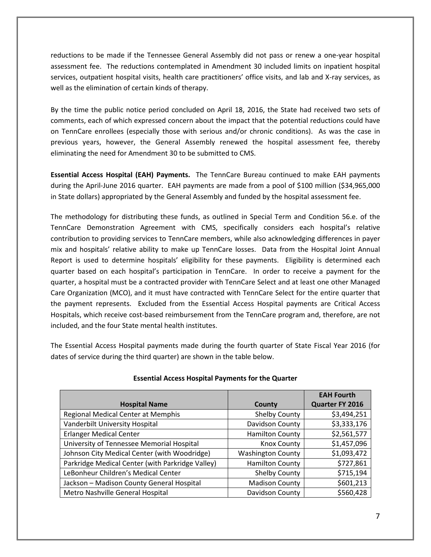reductions to be made if the Tennessee General Assembly did not pass or renew a one-year hospital assessment fee. The reductions contemplated in Amendment 30 included limits on inpatient hospital services, outpatient hospital visits, health care practitioners' office visits, and lab and X-ray services, as well as the elimination of certain kinds of therapy.

By the time the public notice period concluded on April 18, 2016, the State had received two sets of comments, each of which expressed concern about the impact that the potential reductions could have on TennCare enrollees (especially those with serious and/or chronic conditions). As was the case in previous years, however, the General Assembly renewed the hospital assessment fee, thereby eliminating the need for Amendment 30 to be submitted to CMS.

**Essential Access Hospital (EAH) Payments.** The TennCare Bureau continued to make EAH payments during the April-June 2016 quarter. EAH payments are made from a pool of \$100 million (\$34,965,000 in State dollars) appropriated by the General Assembly and funded by the hospital assessment fee.

The methodology for distributing these funds, as outlined in Special Term and Condition 56.e. of the TennCare Demonstration Agreement with CMS, specifically considers each hospital's relative contribution to providing services to TennCare members, while also acknowledging differences in payer mix and hospitals' relative ability to make up TennCare losses. Data from the Hospital Joint Annual Report is used to determine hospitals' eligibility for these payments. Eligibility is determined each quarter based on each hospital's participation in TennCare. In order to receive a payment for the quarter, a hospital must be a contracted provider with TennCare Select and at least one other Managed Care Organization (MCO), and it must have contracted with TennCare Select for the entire quarter that the payment represents. Excluded from the Essential Access Hospital payments are Critical Access Hospitals, which receive cost-based reimbursement from the TennCare program and, therefore, are not included, and the four State mental health institutes.

The Essential Access Hospital payments made during the fourth quarter of State Fiscal Year 2016 (for dates of service during the third quarter) are shown in the table below.

|                                                  |                          | <b>EAH Fourth</b> |
|--------------------------------------------------|--------------------------|-------------------|
| <b>Hospital Name</b>                             | County                   | Quarter FY 2016   |
| Regional Medical Center at Memphis               | Shelby County            | \$3,494,251       |
| Vanderbilt University Hospital                   | Davidson County          | \$3,333,176       |
| <b>Erlanger Medical Center</b>                   | <b>Hamilton County</b>   | \$2,561,577       |
| University of Tennessee Memorial Hospital        | <b>Knox County</b>       | \$1,457,096       |
| Johnson City Medical Center (with Woodridge)     | <b>Washington County</b> | \$1,093,472       |
| Parkridge Medical Center (with Parkridge Valley) | <b>Hamilton County</b>   | \$727,861         |
| LeBonheur Children's Medical Center              | Shelby County            | \$715,194         |
| Jackson - Madison County General Hospital        | <b>Madison County</b>    | \$601,213         |
| Metro Nashville General Hospital                 | Davidson County          | \$560,428         |

#### **Essential Access Hospital Payments for the Quarter**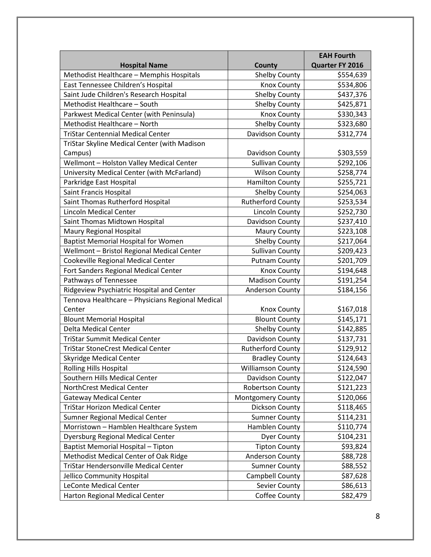|                                                  |                          | <b>EAH Fourth</b> |
|--------------------------------------------------|--------------------------|-------------------|
| <b>Hospital Name</b>                             | County                   | Quarter FY 2016   |
| Methodist Healthcare - Memphis Hospitals         | <b>Shelby County</b>     | \$554,639         |
| East Tennessee Children's Hospital               | <b>Knox County</b>       | \$534,806         |
| Saint Jude Children's Research Hospital          | <b>Shelby County</b>     | \$437,376         |
| Methodist Healthcare - South                     | <b>Shelby County</b>     | \$425,871         |
| Parkwest Medical Center (with Peninsula)         | <b>Knox County</b>       | \$330,343         |
| Methodist Healthcare - North                     | <b>Shelby County</b>     | \$323,680         |
| <b>TriStar Centennial Medical Center</b>         | Davidson County          | \$312,774         |
| TriStar Skyline Medical Center (with Madison     |                          |                   |
| Campus)                                          | Davidson County          | \$303,559         |
| Wellmont - Holston Valley Medical Center         | <b>Sullivan County</b>   | \$292,106         |
| University Medical Center (with McFarland)       | <b>Wilson County</b>     | \$258,774         |
| Parkridge East Hospital                          | <b>Hamilton County</b>   | \$255,721         |
| Saint Francis Hospital                           | <b>Shelby County</b>     | \$254,063         |
| Saint Thomas Rutherford Hospital                 | <b>Rutherford County</b> | \$253,534         |
| <b>Lincoln Medical Center</b>                    | Lincoln County           | \$252,730         |
| Saint Thomas Midtown Hospital                    | Davidson County          | \$237,410         |
| Maury Regional Hospital                          | <b>Maury County</b>      | \$223,108         |
| <b>Baptist Memorial Hospital for Women</b>       | <b>Shelby County</b>     | \$217,064         |
| Wellmont - Bristol Regional Medical Center       | <b>Sullivan County</b>   | \$209,423         |
| Cookeville Regional Medical Center               | <b>Putnam County</b>     | \$201,709         |
| Fort Sanders Regional Medical Center             | <b>Knox County</b>       | \$194,648         |
| Pathways of Tennessee                            | <b>Madison County</b>    | \$191,254         |
| Ridgeview Psychiatric Hospital and Center        | <b>Anderson County</b>   | \$184,156         |
| Tennova Healthcare - Physicians Regional Medical |                          |                   |
| Center                                           | <b>Knox County</b>       | \$167,018         |
| <b>Blount Memorial Hospital</b>                  | <b>Blount County</b>     | \$145,171         |
| <b>Delta Medical Center</b>                      | <b>Shelby County</b>     | \$142,885         |
| <b>TriStar Summit Medical Center</b>             | Davidson County          | \$137,731         |
| <b>TriStar StoneCrest Medical Center</b>         | <b>Rutherford County</b> | \$129,912         |
| <b>Skyridge Medical Center</b>                   | <b>Bradley County</b>    | \$124,643         |
| <b>Rolling Hills Hospital</b>                    | <b>Williamson County</b> | \$124,590         |
| Southern Hills Medical Center                    | Davidson County          | \$122,047         |
| NorthCrest Medical Center                        | <b>Robertson County</b>  | \$121,223         |
| <b>Gateway Medical Center</b>                    | <b>Montgomery County</b> | \$120,066         |
| <b>TriStar Horizon Medical Center</b>            | Dickson County           | \$118,465         |
| Sumner Regional Medical Center                   | <b>Sumner County</b>     | \$114,231         |
| Morristown - Hamblen Healthcare System           | Hamblen County           | \$110,774         |
| <b>Dyersburg Regional Medical Center</b>         | Dyer County              | \$104,231         |
| Baptist Memorial Hospital - Tipton               | <b>Tipton County</b>     | \$93,824          |
| Methodist Medical Center of Oak Ridge            | <b>Anderson County</b>   | \$88,728          |
| TriStar Hendersonville Medical Center            | <b>Sumner County</b>     | \$88,552          |
| Jellico Community Hospital                       | Campbell County          | \$87,628          |
| <b>LeConte Medical Center</b>                    | Sevier County            | \$86,613          |
| Harton Regional Medical Center                   | Coffee County            | \$82,479          |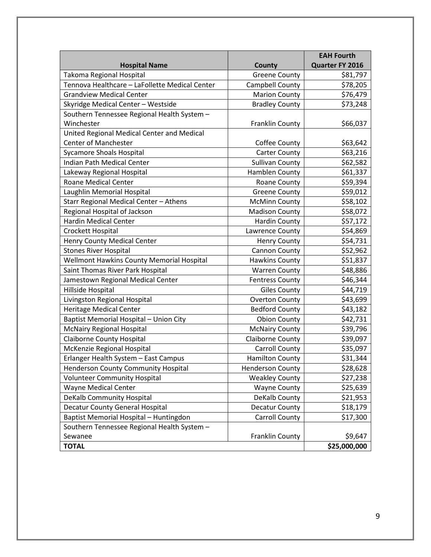|                                                |                         | <b>EAH Fourth</b> |
|------------------------------------------------|-------------------------|-------------------|
| <b>Hospital Name</b>                           | <b>County</b>           | Quarter FY 2016   |
| Takoma Regional Hospital                       | <b>Greene County</b>    | \$81,797          |
| Tennova Healthcare - LaFollette Medical Center | Campbell County         | \$78,205          |
| <b>Grandview Medical Center</b>                | <b>Marion County</b>    | \$76,479          |
| Skyridge Medical Center - Westside             | <b>Bradley County</b>   | \$73,248          |
| Southern Tennessee Regional Health System -    |                         |                   |
| Winchester                                     | Franklin County         | \$66,037          |
| United Regional Medical Center and Medical     |                         |                   |
| <b>Center of Manchester</b>                    | Coffee County           | \$63,642          |
| <b>Sycamore Shoals Hospital</b>                | <b>Carter County</b>    | \$63,216          |
| Indian Path Medical Center                     | <b>Sullivan County</b>  | \$62,582          |
| Lakeway Regional Hospital                      | Hamblen County          | \$61,337          |
| <b>Roane Medical Center</b>                    | Roane County            | \$59,394          |
| Laughlin Memorial Hospital                     | <b>Greene County</b>    | \$59,012          |
| Starr Regional Medical Center - Athens         | <b>McMinn County</b>    | \$58,102          |
| Regional Hospital of Jackson                   | <b>Madison County</b>   | \$58,072          |
| <b>Hardin Medical Center</b>                   | <b>Hardin County</b>    | \$57,172          |
| Crockett Hospital                              | Lawrence County         | \$54,869          |
| <b>Henry County Medical Center</b>             | <b>Henry County</b>     | \$54,731          |
| <b>Stones River Hospital</b>                   | Cannon County           | \$52,962          |
| Wellmont Hawkins County Memorial Hospital      | <b>Hawkins County</b>   | \$51,837          |
| Saint Thomas River Park Hospital               | <b>Warren County</b>    | \$48,886          |
| Jamestown Regional Medical Center              | <b>Fentress County</b>  | \$46,344          |
| Hillside Hospital                              | <b>Giles County</b>     | \$44,719          |
| Livingston Regional Hospital                   | <b>Overton County</b>   | \$43,699          |
| <b>Heritage Medical Center</b>                 | <b>Bedford County</b>   | \$43,182          |
| Baptist Memorial Hospital - Union City         | <b>Obion County</b>     | \$42,731          |
| <b>McNairy Regional Hospital</b>               | <b>McNairy County</b>   | \$39,796          |
| <b>Claiborne County Hospital</b>               | <b>Claiborne County</b> | \$39,097          |
| McKenzie Regional Hospital                     | <b>Carroll County</b>   | \$35,097          |
| Erlanger Health System - East Campus           | <b>Hamilton County</b>  | \$31,344          |
| <b>Henderson County Community Hospital</b>     | <b>Henderson County</b> | \$28,628          |
| <b>Volunteer Community Hospital</b>            | <b>Weakley County</b>   | \$27,238          |
| <b>Wayne Medical Center</b>                    | <b>Wayne County</b>     | \$25,639          |
| <b>DeKalb Community Hospital</b>               | DeKalb County           | \$21,953          |
| <b>Decatur County General Hospital</b>         | <b>Decatur County</b>   | \$18,179          |
| Baptist Memorial Hospital - Huntingdon         | Carroll County          | \$17,300          |
| Southern Tennessee Regional Health System -    |                         |                   |
| Sewanee                                        | Franklin County         | \$9,647           |
| <b>TOTAL</b>                                   |                         | \$25,000,000      |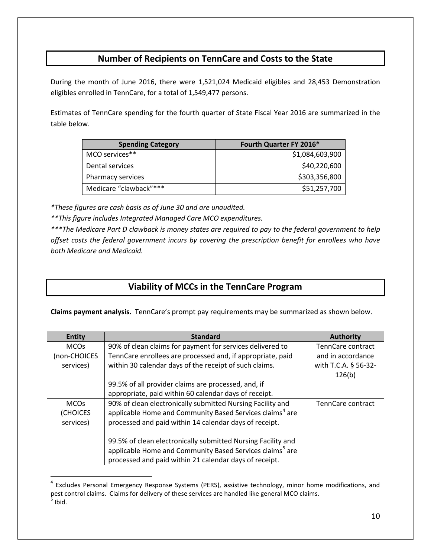# **Number of Recipients on TennCare and Costs to the State**

During the month of June 2016, there were 1,521,024 Medicaid eligibles and 28,453 Demonstration eligibles enrolled in TennCare, for a total of 1,549,477 persons.

Estimates of TennCare spending for the fourth quarter of State Fiscal Year 2016 are summarized in the table below.

| <b>Spending Category</b> | Fourth Quarter FY 2016* |
|--------------------------|-------------------------|
| MCO services**           | \$1,084,603,900         |
| Dental services          | \$40,220,600            |
| Pharmacy services        | \$303,356,800           |
| Medicare "clawback"***   | \$51,257,700            |

*\*These figures are cash basis as of June 30 and are unaudited.*

 $\overline{a}$ 

*\*\*This figure includes Integrated Managed Care MCO expenditures.*

*\*\*\*The Medicare Part D clawback is money states are required to pay to the federal government to help offset costs the federal government incurs by covering the prescription benefit for enrollees who have both Medicare and Medicaid.*

# **Viability of MCCs in the TennCare Program**

**Claims payment analysis.** TennCare's prompt pay requirements may be summarized as shown below.

| <b>Entity</b> | <b>Standard</b>                                                      | <b>Authority</b>     |
|---------------|----------------------------------------------------------------------|----------------------|
| <b>MCOs</b>   | 90% of clean claims for payment for services delivered to            | TennCare contract    |
| (non-CHOICES  | TennCare enrollees are processed and, if appropriate, paid           | and in accordance    |
| services)     | within 30 calendar days of the receipt of such claims.               | with T.C.A. § 56-32- |
|               |                                                                      | 126(b)               |
|               | 99.5% of all provider claims are processed, and, if                  |                      |
|               | appropriate, paid within 60 calendar days of receipt.                |                      |
| <b>MCOs</b>   | 90% of clean electronically submitted Nursing Facility and           | TennCare contract    |
| (CHOICES      | applicable Home and Community Based Services claims <sup>4</sup> are |                      |
| services)     | processed and paid within 14 calendar days of receipt.               |                      |
|               |                                                                      |                      |
|               | 99.5% of clean electronically submitted Nursing Facility and         |                      |
|               | applicable Home and Community Based Services claims <sup>5</sup> are |                      |
|               | processed and paid within 21 calendar days of receipt.               |                      |

<span id="page-9-1"></span><span id="page-9-0"></span><sup>&</sup>lt;sup>4</sup> Excludes Personal Emergency Response Systems (PERS), assistive technology, minor home modifications, and pest control claims. Claims for delivery of these services are handled like general MCO claims.  $<sup>5</sup>$  Ibid.</sup>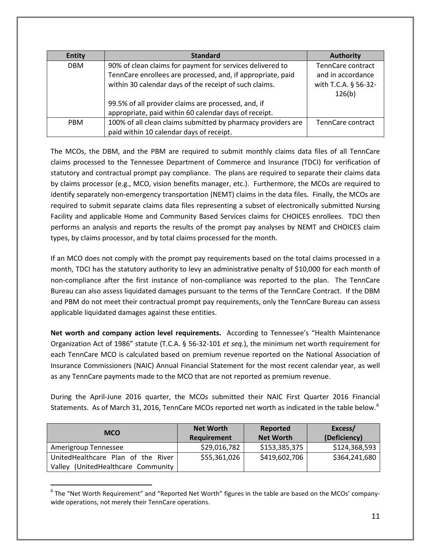| <b>Entity</b> | <b>Standard</b>                                              | <b>Authority</b>     |
|---------------|--------------------------------------------------------------|----------------------|
| <b>DBM</b>    | 90% of clean claims for payment for services delivered to    | TennCare contract    |
|               | TennCare enrollees are processed, and, if appropriate, paid  | and in accordance    |
|               | within 30 calendar days of the receipt of such claims.       | with T.C.A. § 56-32- |
|               |                                                              | 126(b)               |
|               | 99.5% of all provider claims are processed, and, if          |                      |
|               | appropriate, paid within 60 calendar days of receipt.        |                      |
| <b>PBM</b>    | 100% of all clean claims submitted by pharmacy providers are | TennCare contract    |
|               | paid within 10 calendar days of receipt.                     |                      |

The MCOs, the DBM, and the PBM are required to submit monthly claims data files of all TennCare claims processed to the Tennessee Department of Commerce and Insurance (TDCI) for verification of statutory and contractual prompt pay compliance. The plans are required to separate their claims data by claims processor (e.g., MCO, vision benefits manager, etc.). Furthermore, the MCOs are required to identify separately non-emergency transportation (NEMT) claims in the data files. Finally, the MCOs are required to submit separate claims data files representing a subset of electronically submitted Nursing Facility and applicable Home and Community Based Services claims for CHOICES enrollees. TDCI then performs an analysis and reports the results of the prompt pay analyses by NEMT and CHOICES claim types, by claims processor, and by total claims processed for the month.

If an MCO does not comply with the prompt pay requirements based on the total claims processed in a month, TDCI has the statutory authority to levy an administrative penalty of \$10,000 for each month of non-compliance after the first instance of non-compliance was reported to the plan. The TennCare Bureau can also assess liquidated damages pursuant to the terms of the TennCare Contract. If the DBM and PBM do not meet their contractual prompt pay requirements, only the TennCare Bureau can assess applicable liquidated damages against these entities.

**Net worth and company action level requirements.** According to Tennessee's "Health Maintenance Organization Act of 1986" statute (T.C.A. § 56-32-101 *et seq.*), the minimum net worth requirement for each TennCare MCO is calculated based on premium revenue reported on the National Association of Insurance Commissioners (NAIC) Annual Financial Statement for the most recent calendar year, as well as any TennCare payments made to the MCO that are not reported as premium revenue.

During the April-June 2016 quarter, the MCOs submitted their NAIC First Quarter 2016 Financial Statements. As of March 31, 201[6](#page-10-0), TennCare MCOs reported net worth as indicated in the table below.<sup>6</sup>

| <b>MCO</b>                         | <b>Net Worth</b>   | Reported         | Excess/       |
|------------------------------------|--------------------|------------------|---------------|
|                                    | <b>Requirement</b> | <b>Net Worth</b> | (Deficiency)  |
| Amerigroup Tennessee               | \$29,016,782       | \$153,385,375    | \$124,368,593 |
| UnitedHealthcare Plan of the River | \$55,361,026       | \$419,602,706    | \$364,241,680 |
| Valley (UnitedHealthcare Community |                    |                  |               |

<span id="page-10-0"></span> $6$  The "Net Worth Requirement" and "Reported Net Worth" figures in the table are based on the MCOs' companywide operations, not merely their TennCare operations.

 $\overline{a}$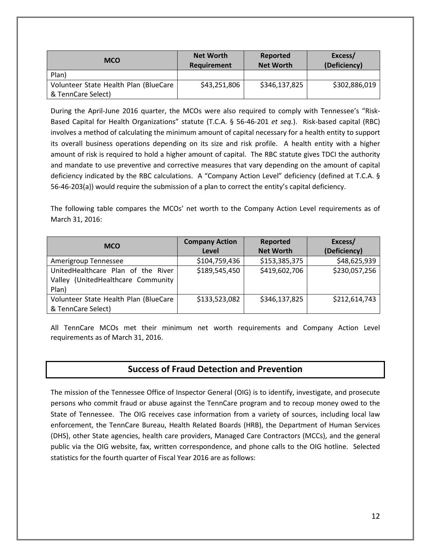| <b>MCO</b>                            | <b>Net Worth</b><br>Requirement | Reported<br><b>Net Worth</b> | Excess/<br>(Deficiency) |
|---------------------------------------|---------------------------------|------------------------------|-------------------------|
| Plan)                                 |                                 |                              |                         |
| Volunteer State Health Plan (BlueCare | \$43,251,806                    | \$346,137,825                | \$302,886,019           |
| & TennCare Select)                    |                                 |                              |                         |

During the April-June 2016 quarter, the MCOs were also required to comply with Tennessee's "Risk-Based Capital for Health Organizations" statute (T.C.A. § 56-46-201 *et seq.*). Risk-based capital (RBC) involves a method of calculating the minimum amount of capital necessary for a health entity to support its overall business operations depending on its size and risk profile. A health entity with a higher amount of risk is required to hold a higher amount of capital. The RBC statute gives TDCI the authority and mandate to use preventive and corrective measures that vary depending on the amount of capital deficiency indicated by the RBC calculations. A "Company Action Level" deficiency (defined at T.C.A. § 56-46-203(a)) would require the submission of a plan to correct the entity's capital deficiency.

The following table compares the MCOs' net worth to the Company Action Level requirements as of March 31, 2016:

| <b>MCO</b>                            | <b>Company Action</b> | Reported         | Excess/       |
|---------------------------------------|-----------------------|------------------|---------------|
|                                       | Level                 | <b>Net Worth</b> | (Deficiency)  |
| Amerigroup Tennessee                  | \$104,759,436         | \$153,385,375    | \$48,625,939  |
| UnitedHealthcare Plan of the River    | \$189,545,450         | \$419,602,706    | \$230,057,256 |
| Valley (UnitedHealthcare Community    |                       |                  |               |
| Plan)                                 |                       |                  |               |
| Volunteer State Health Plan (BlueCare | \$133,523,082         | \$346,137,825    | \$212,614,743 |
| & TennCare Select)                    |                       |                  |               |

All TennCare MCOs met their minimum net worth requirements and Company Action Level requirements as of March 31, 2016.

# **Success of Fraud Detection and Prevention**

The mission of the Tennessee Office of Inspector General (OIG) is to identify, investigate, and prosecute persons who commit fraud or abuse against the TennCare program and to recoup money owed to the State of Tennessee.The OIG receives case information from a variety of sources, including local law enforcement, the TennCare Bureau, Health Related Boards (HRB), the Department of Human Services (DHS), other State agencies, health care providers, Managed Care Contractors (MCCs), and the general public via the OIG website, fax, written correspondence, and phone calls to the OIG hotline. Selected statistics for the fourth quarter of Fiscal Year 2016 are as follows: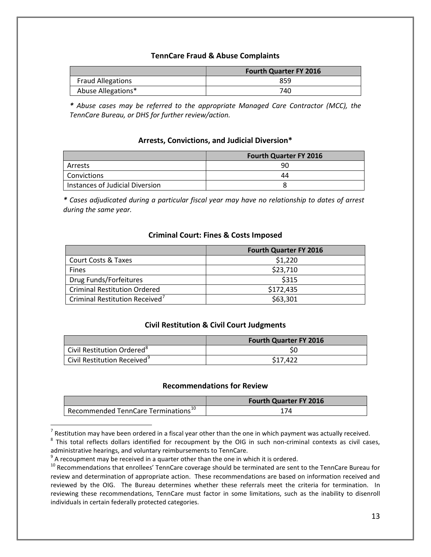#### **TennCare Fraud & Abuse Complaints**

|                          | <b>Fourth Quarter FY 2016</b> |
|--------------------------|-------------------------------|
| <b>Fraud Allegations</b> | 859                           |
| Abuse Allegations*       | 740                           |

*\* Abuse cases may be referred to the appropriate Managed Care Contractor (MCC), the TennCare Bureau, or DHS for further review/action.*

#### **Arrests, Convictions, and Judicial Diversion\***

|                                 | <b>Fourth Quarter FY 2016</b> |
|---------------------------------|-------------------------------|
| Arrests                         | 90                            |
| <b>Convictions</b>              | 44                            |
| Instances of Judicial Diversion |                               |

*\* Cases adjudicated during a particular fiscal year may have no relationship to dates of arrest during the same year.*

#### **Criminal Court: Fines & Costs Imposed**

|                                            | <b>Fourth Quarter FY 2016</b> |
|--------------------------------------------|-------------------------------|
| <b>Court Costs &amp; Taxes</b>             | \$1,220                       |
| <b>Fines</b>                               | \$23,710                      |
| Drug Funds/Forfeitures                     | \$315                         |
| <b>Criminal Restitution Ordered</b>        | \$172,435                     |
| Criminal Restitution Received <sup>7</sup> | \$63,301                      |

#### **Civil Restitution & Civil Court Judgments**

|                                         | <b>Fourth Quarter FY 2016</b> |
|-----------------------------------------|-------------------------------|
| Civil Restitution Ordered <sup>8</sup>  |                               |
| Civil Restitution Received <sup>9</sup> | \$17.422                      |

#### **Recommendations for Review**

|                                                 | <b>Fourth Quarter FY 2016</b> |
|-------------------------------------------------|-------------------------------|
| Recommended TennCare Terminations <sup>10</sup> |                               |

<span id="page-12-1"></span><span id="page-12-0"></span><sup>7</sup> Restitution may have been ordered in a fiscal year other than the one in which payment was actually received.<br><sup>8</sup> This total reflects dollars identified for recoupment by the OIG in such non-criminal contexts as civil administrative hearings, and voluntary reimbursements to TennCare.<br><sup>9</sup> A recoupment may be received in a quarter other than the one in which it is ordered.

 $\overline{a}$ 

<span id="page-12-3"></span><span id="page-12-2"></span> $10$  Recommendations that enrollees' TennCare coverage should be terminated are sent to the TennCare Bureau for review and determination of appropriate action. These recommendations are based on information received and reviewed by the OIG. The Bureau determines whether these referrals meet the criteria for termination. In reviewing these recommendations, TennCare must factor in some limitations, such as the inability to disenroll individuals in certain federally protected categories.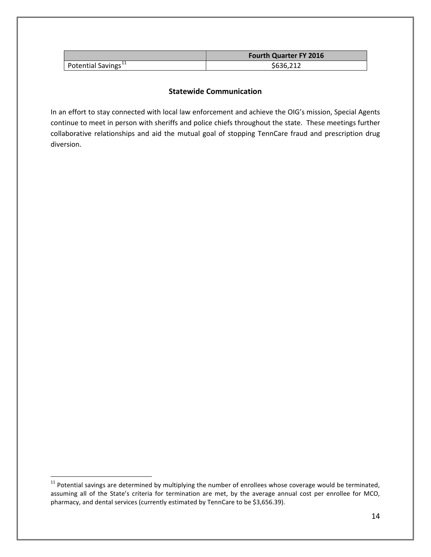|                                 | <b>Fourth Quarter FY 2016</b> |
|---------------------------------|-------------------------------|
| Potential Savings <sup>11</sup> | \$636.212                     |

#### **Statewide Communication**

In an effort to stay connected with local law enforcement and achieve the OIG's mission, Special Agents continue to meet in person with sheriffs and police chiefs throughout the state. These meetings further collaborative relationships and aid the mutual goal of stopping TennCare fraud and prescription drug diversion.

 $\overline{a}$ 

<span id="page-13-0"></span> $11$  Potential savings are determined by multiplying the number of enrollees whose coverage would be terminated, assuming all of the State's criteria for termination are met, by the average annual cost per enrollee for MCO, pharmacy, and dental services (currently estimated by TennCare to be \$3,656.39).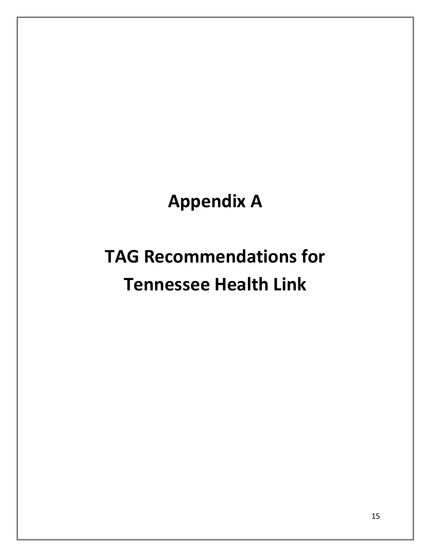**Appendix A**

# **TAG Recommendations for Tennessee Health Link**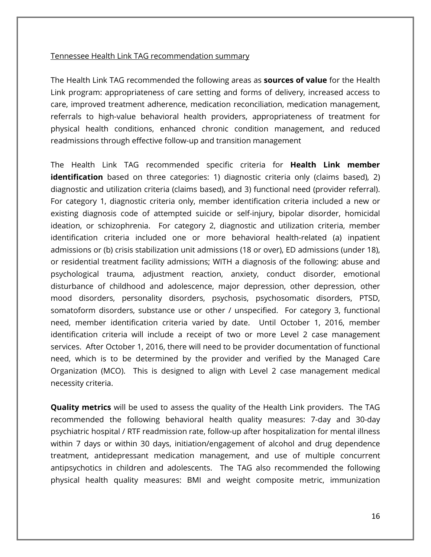#### Tennessee Health Link TAG recommendation summary

The Health Link TAG recommended the following areas as **sources of value** for the Health Link program: appropriateness of care setting and forms of delivery, increased access to care, improved treatment adherence, medication reconciliation, medication management, referrals to high-value behavioral health providers, appropriateness of treatment for physical health conditions, enhanced chronic condition management, and reduced readmissions through effective follow-up and transition management

The Health Link TAG recommended specific criteria for **Health Link member identification** based on three categories: 1) diagnostic criteria only (claims based), 2) diagnostic and utilization criteria (claims based), and 3) functional need (provider referral). For category 1, diagnostic criteria only, member identification criteria included a new or existing diagnosis code of attempted suicide or self-injury, bipolar disorder, homicidal ideation, or schizophrenia. For category 2, diagnostic and utilization criteria, member identification criteria included one or more behavioral health-related (a) inpatient admissions or (b) crisis stabilization unit admissions (18 or over), ED admissions (under 18), or residential treatment facility admissions; WITH a diagnosis of the following: abuse and psychological trauma, adjustment reaction, anxiety, conduct disorder, emotional disturbance of childhood and adolescence, major depression, other depression, other mood disorders, personality disorders, psychosis, psychosomatic disorders, PTSD, somatoform disorders, substance use or other / unspecified. For category 3, functional need, member identification criteria varied by date. Until October 1, 2016, member identification criteria will include a receipt of two or more Level 2 case management services. After October 1, 2016, there will need to be provider documentation of functional need, which is to be determined by the provider and verified by the Managed Care Organization (MCO). This is designed to align with Level 2 case management medical necessity criteria.

**Quality metrics** will be used to assess the quality of the Health Link providers. The TAG recommended the following behavioral health quality measures: 7-day and 30-day psychiatric hospital / RTF readmission rate, follow-up after hospitalization for mental illness within 7 days or within 30 days, initiation/engagement of alcohol and drug dependence treatment, antidepressant medication management, and use of multiple concurrent antipsychotics in children and adolescents. The TAG also recommended the following physical health quality measures: BMI and weight composite metric, immunization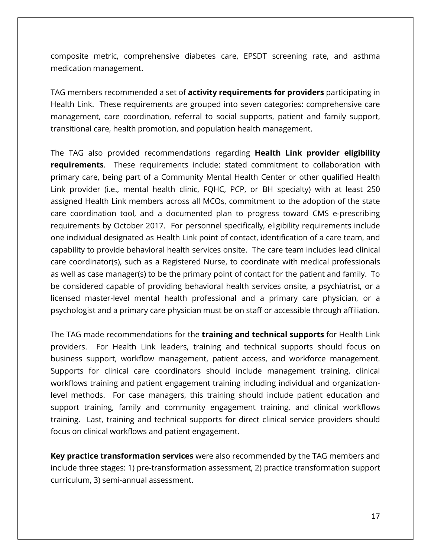composite metric, comprehensive diabetes care, EPSDT screening rate, and asthma medication management.

TAG members recommended a set of **activity requirements for providers** participating in Health Link. These requirements are grouped into seven categories: comprehensive care management, care coordination, referral to social supports, patient and family support, transitional care, health promotion, and population health management.

The TAG also provided recommendations regarding **Health Link provider eligibility requirements**. These requirements include: stated commitment to collaboration with primary care, being part of a Community Mental Health Center or other qualified Health Link provider (i.e., mental health clinic, FQHC, PCP, or BH specialty) with at least 250 assigned Health Link members across all MCOs, commitment to the adoption of the state care coordination tool, and a documented plan to progress toward CMS e-prescribing requirements by October 2017. For personnel specifically, eligibility requirements include one individual designated as Health Link point of contact, identification of a care team, and capability to provide behavioral health services onsite. The care team includes lead clinical care coordinator(s), such as a Registered Nurse, to coordinate with medical professionals as well as case manager(s) to be the primary point of contact for the patient and family. To be considered capable of providing behavioral health services onsite, a psychiatrist, or a licensed master-level mental health professional and a primary care physician, or a psychologist and a primary care physician must be on staff or accessible through affiliation.

The TAG made recommendations for the **training and technical supports** for Health Link providers. For Health Link leaders, training and technical supports should focus on business support, workflow management, patient access, and workforce management. Supports for clinical care coordinators should include management training, clinical workflows training and patient engagement training including individual and organizationlevel methods. For case managers, this training should include patient education and support training, family and community engagement training, and clinical workflows training. Last, training and technical supports for direct clinical service providers should focus on clinical workflows and patient engagement.

**Key practice transformation services** were also recommended by the TAG members and include three stages: 1) pre-transformation assessment, 2) practice transformation support curriculum, 3) semi-annual assessment.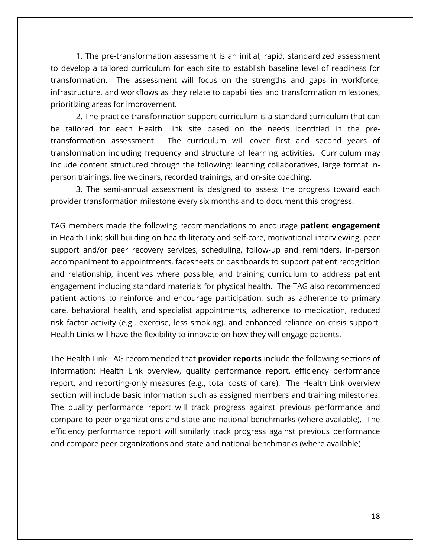1. The pre-transformation assessment is an initial, rapid, standardized assessment to develop a tailored curriculum for each site to establish baseline level of readiness for transformation. The assessment will focus on the strengths and gaps in workforce, infrastructure, and workflows as they relate to capabilities and transformation milestones, prioritizing areas for improvement.

2. The practice transformation support curriculum is a standard curriculum that can be tailored for each Health Link site based on the needs identified in the pretransformation assessment. The curriculum will cover first and second years of transformation including frequency and structure of learning activities. Curriculum may include content structured through the following: learning collaboratives, large format inperson trainings, live webinars, recorded trainings, and on-site coaching.

3. The semi-annual assessment is designed to assess the progress toward each provider transformation milestone every six months and to document this progress.

TAG members made the following recommendations to encourage **patient engagement**  in Health Link: skill building on health literacy and self-care, motivational interviewing, peer support and/or peer recovery services, scheduling, follow-up and reminders, in-person accompaniment to appointments, facesheets or dashboards to support patient recognition and relationship, incentives where possible, and training curriculum to address patient engagement including standard materials for physical health. The TAG also recommended patient actions to reinforce and encourage participation, such as adherence to primary care, behavioral health, and specialist appointments, adherence to medication, reduced risk factor activity (e.g., exercise, less smoking), and enhanced reliance on crisis support. Health Links will have the flexibility to innovate on how they will engage patients.

The Health Link TAG recommended that **provider reports** include the following sections of information: Health Link overview, quality performance report, efficiency performance report, and reporting-only measures (e.g., total costs of care). The Health Link overview section will include basic information such as assigned members and training milestones. The quality performance report will track progress against previous performance and compare to peer organizations and state and national benchmarks (where available). The efficiency performance report will similarly track progress against previous performance and compare peer organizations and state and national benchmarks (where available).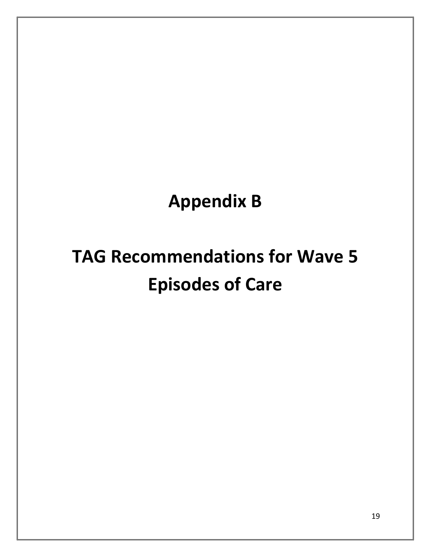# **Appendix B**

# **TAG Recommendations for Wave 5 Episodes of Care**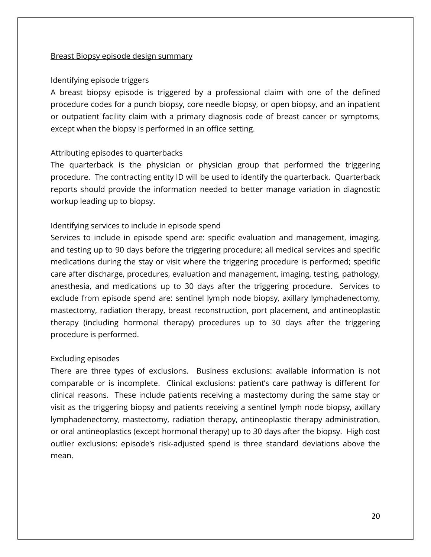#### Breast Biopsy episode design summary

#### Identifying episode triggers

A breast biopsy episode is triggered by a professional claim with one of the defined procedure codes for a punch biopsy, core needle biopsy, or open biopsy, and an inpatient or outpatient facility claim with a primary diagnosis code of breast cancer or symptoms, except when the biopsy is performed in an office setting.

#### Attributing episodes to quarterbacks

The quarterback is the physician or physician group that performed the triggering procedure. The contracting entity ID will be used to identify the quarterback. Quarterback reports should provide the information needed to better manage variation in diagnostic workup leading up to biopsy.

# Identifying services to include in episode spend

Services to include in episode spend are: specific evaluation and management, imaging, and testing up to 90 days before the triggering procedure; all medical services and specific medications during the stay or visit where the triggering procedure is performed; specific care after discharge, procedures, evaluation and management, imaging, testing, pathology, anesthesia, and medications up to 30 days after the triggering procedure. Services to exclude from episode spend are: sentinel lymph node biopsy, axillary lymphadenectomy, mastectomy, radiation therapy, breast reconstruction, port placement, and antineoplastic therapy (including hormonal therapy) procedures up to 30 days after the triggering procedure is performed.

#### Excluding episodes

There are three types of exclusions. Business exclusions: available information is not comparable or is incomplete. Clinical exclusions: patient's care pathway is different for clinical reasons. These include patients receiving a mastectomy during the same stay or visit as the triggering biopsy and patients receiving a sentinel lymph node biopsy, axillary lymphadenectomy, mastectomy, radiation therapy, antineoplastic therapy administration, or oral antineoplastics (except hormonal therapy) up to 30 days after the biopsy. High cost outlier exclusions: episode's risk-adjusted spend is three standard deviations above the mean.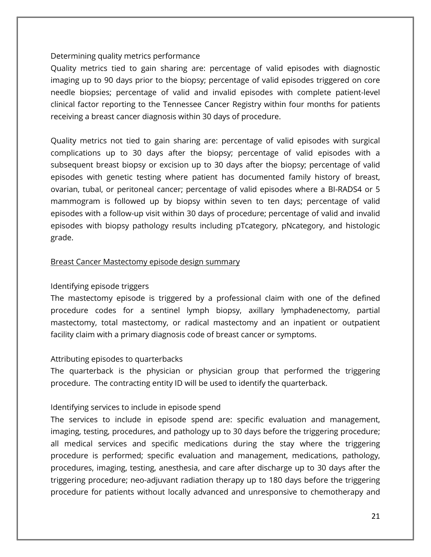# Determining quality metrics performance

Quality metrics tied to gain sharing are: percentage of valid episodes with diagnostic imaging up to 90 days prior to the biopsy; percentage of valid episodes triggered on core needle biopsies; percentage of valid and invalid episodes with complete patient-level clinical factor reporting to the Tennessee Cancer Registry within four months for patients receiving a breast cancer diagnosis within 30 days of procedure.

Quality metrics not tied to gain sharing are: percentage of valid episodes with surgical complications up to 30 days after the biopsy; percentage of valid episodes with a subsequent breast biopsy or excision up to 30 days after the biopsy; percentage of valid episodes with genetic testing where patient has documented family history of breast, ovarian, tubal, or peritoneal cancer; percentage of valid episodes where a BI-RADS4 or 5 mammogram is followed up by biopsy within seven to ten days; percentage of valid episodes with a follow-up visit within 30 days of procedure; percentage of valid and invalid episodes with biopsy pathology results including pTcategory, pNcategory, and histologic grade.

# Breast Cancer Mastectomy episode design summary

# Identifying episode triggers

The mastectomy episode is triggered by a professional claim with one of the defined procedure codes for a sentinel lymph biopsy, axillary lymphadenectomy, partial mastectomy, total mastectomy, or radical mastectomy and an inpatient or outpatient facility claim with a primary diagnosis code of breast cancer or symptoms.

#### Attributing episodes to quarterbacks

The quarterback is the physician or physician group that performed the triggering procedure. The contracting entity ID will be used to identify the quarterback.

# Identifying services to include in episode spend

The services to include in episode spend are: specific evaluation and management, imaging, testing, procedures, and pathology up to 30 days before the triggering procedure; all medical services and specific medications during the stay where the triggering procedure is performed; specific evaluation and management, medications, pathology, procedures, imaging, testing, anesthesia, and care after discharge up to 30 days after the triggering procedure; neo-adjuvant radiation therapy up to 180 days before the triggering procedure for patients without locally advanced and unresponsive to chemotherapy and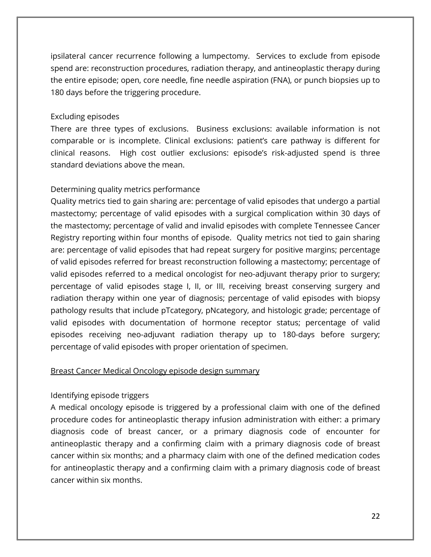ipsilateral cancer recurrence following a lumpectomy. Services to exclude from episode spend are: reconstruction procedures, radiation therapy, and antineoplastic therapy during the entire episode; open, core needle, fine needle aspiration (FNA), or punch biopsies up to 180 days before the triggering procedure.

### Excluding episodes

There are three types of exclusions. Business exclusions: available information is not comparable or is incomplete. Clinical exclusions: patient's care pathway is different for clinical reasons. High cost outlier exclusions: episode's risk-adjusted spend is three standard deviations above the mean.

# Determining quality metrics performance

Quality metrics tied to gain sharing are: percentage of valid episodes that undergo a partial mastectomy; percentage of valid episodes with a surgical complication within 30 days of the mastectomy; percentage of valid and invalid episodes with complete Tennessee Cancer Registry reporting within four months of episode. Quality metrics not tied to gain sharing are: percentage of valid episodes that had repeat surgery for positive margins; percentage of valid episodes referred for breast reconstruction following a mastectomy; percentage of valid episodes referred to a medical oncologist for neo-adjuvant therapy prior to surgery; percentage of valid episodes stage I, II, or III, receiving breast conserving surgery and radiation therapy within one year of diagnosis; percentage of valid episodes with biopsy pathology results that include pTcategory, pNcategory, and histologic grade; percentage of valid episodes with documentation of hormone receptor status; percentage of valid episodes receiving neo-adjuvant radiation therapy up to 180-days before surgery; percentage of valid episodes with proper orientation of specimen.

#### Breast Cancer Medical Oncology episode design summary

# Identifying episode triggers

A medical oncology episode is triggered by a professional claim with one of the defined procedure codes for antineoplastic therapy infusion administration with either: a primary diagnosis code of breast cancer, or a primary diagnosis code of encounter for antineoplastic therapy and a confirming claim with a primary diagnosis code of breast cancer within six months; and a pharmacy claim with one of the defined medication codes for antineoplastic therapy and a confirming claim with a primary diagnosis code of breast cancer within six months.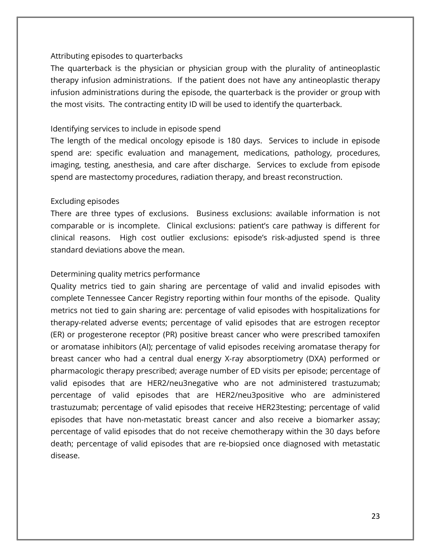#### Attributing episodes to quarterbacks

The quarterback is the physician or physician group with the plurality of antineoplastic therapy infusion administrations. If the patient does not have any antineoplastic therapy infusion administrations during the episode, the quarterback is the provider or group with the most visits. The contracting entity ID will be used to identify the quarterback.

### Identifying services to include in episode spend

The length of the medical oncology episode is 180 days. Services to include in episode spend are: specific evaluation and management, medications, pathology, procedures, imaging, testing, anesthesia, and care after discharge. Services to exclude from episode spend are mastectomy procedures, radiation therapy, and breast reconstruction.

# Excluding episodes

There are three types of exclusions. Business exclusions: available information is not comparable or is incomplete. Clinical exclusions: patient's care pathway is different for clinical reasons. High cost outlier exclusions: episode's risk-adjusted spend is three standard deviations above the mean.

# Determining quality metrics performance

Quality metrics tied to gain sharing are percentage of valid and invalid episodes with complete Tennessee Cancer Registry reporting within four months of the episode. Quality metrics not tied to gain sharing are: percentage of valid episodes with hospitalizations for therapy-related adverse events; percentage of valid episodes that are estrogen receptor (ER) or progesterone receptor (PR) positive breast cancer who were prescribed tamoxifen or aromatase inhibitors (AI); percentage of valid episodes receiving aromatase therapy for breast cancer who had a central dual energy X-ray absorptiometry (DXA) performed or pharmacologic therapy prescribed; average number of ED visits per episode; percentage of valid episodes that are HER2/neu3negative who are not administered trastuzumab; percentage of valid episodes that are HER2/neu3positive who are administered trastuzumab; percentage of valid episodes that receive HER23testing; percentage of valid episodes that have non-metastatic breast cancer and also receive a biomarker assay; percentage of valid episodes that do not receive chemotherapy within the 30 days before death; percentage of valid episodes that are re-biopsied once diagnosed with metastatic disease.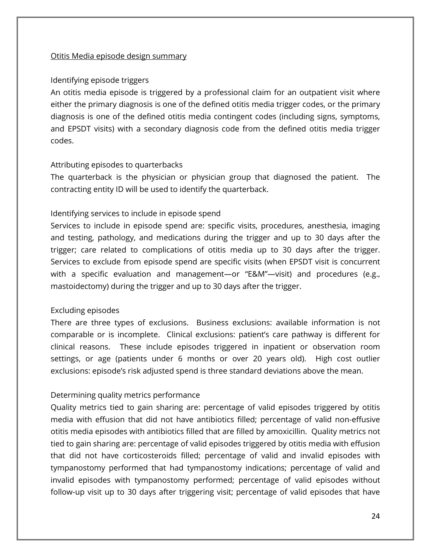#### Otitis Media episode design summary

#### Identifying episode triggers

An otitis media episode is triggered by a professional claim for an outpatient visit where either the primary diagnosis is one of the defined otitis media trigger codes, or the primary diagnosis is one of the defined otitis media contingent codes (including signs, symptoms, and EPSDT visits) with a secondary diagnosis code from the defined otitis media trigger codes.

#### Attributing episodes to quarterbacks

The quarterback is the physician or physician group that diagnosed the patient. The contracting entity ID will be used to identify the quarterback.

#### Identifying services to include in episode spend

Services to include in episode spend are: specific visits, procedures, anesthesia, imaging and testing, pathology, and medications during the trigger and up to 30 days after the trigger; care related to complications of otitis media up to 30 days after the trigger. Services to exclude from episode spend are specific visits (when EPSDT visit is concurrent with a specific evaluation and management—or "E&M"—visit) and procedures (e.g., mastoidectomy) during the trigger and up to 30 days after the trigger.

#### Excluding episodes

There are three types of exclusions. Business exclusions: available information is not comparable or is incomplete. Clinical exclusions: patient's care pathway is different for clinical reasons. These include episodes triggered in inpatient or observation room settings, or age (patients under 6 months or over 20 years old). High cost outlier exclusions: episode's risk adjusted spend is three standard deviations above the mean.

#### Determining quality metrics performance

Quality metrics tied to gain sharing are: percentage of valid episodes triggered by otitis media with effusion that did not have antibiotics filled; percentage of valid non-effusive otitis media episodes with antibiotics filled that are filled by amoxicillin. Quality metrics not tied to gain sharing are: percentage of valid episodes triggered by otitis media with effusion that did not have corticosteroids filled; percentage of valid and invalid episodes with tympanostomy performed that had tympanostomy indications; percentage of valid and invalid episodes with tympanostomy performed; percentage of valid episodes without follow-up visit up to 30 days after triggering visit; percentage of valid episodes that have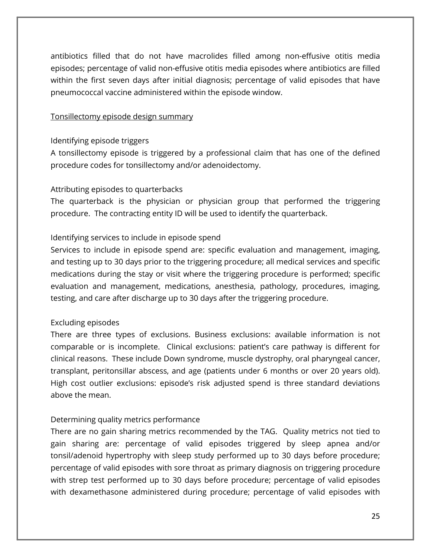antibiotics filled that do not have macrolides filled among non-effusive otitis media episodes; percentage of valid non-effusive otitis media episodes where antibiotics are filled within the first seven days after initial diagnosis; percentage of valid episodes that have pneumococcal vaccine administered within the episode window.

#### Tonsillectomy episode design summary

#### Identifying episode triggers

A tonsillectomy episode is triggered by a professional claim that has one of the defined procedure codes for tonsillectomy and/or adenoidectomy.

#### Attributing episodes to quarterbacks

The quarterback is the physician or physician group that performed the triggering procedure. The contracting entity ID will be used to identify the quarterback.

# Identifying services to include in episode spend

Services to include in episode spend are: specific evaluation and management, imaging, and testing up to 30 days prior to the triggering procedure; all medical services and specific medications during the stay or visit where the triggering procedure is performed; specific evaluation and management, medications, anesthesia, pathology, procedures, imaging, testing, and care after discharge up to 30 days after the triggering procedure.

#### Excluding episodes

There are three types of exclusions. Business exclusions: available information is not comparable or is incomplete. Clinical exclusions: patient's care pathway is different for clinical reasons. These include Down syndrome, muscle dystrophy, oral pharyngeal cancer, transplant, peritonsillar abscess, and age (patients under 6 months or over 20 years old). High cost outlier exclusions: episode's risk adjusted spend is three standard deviations above the mean.

#### Determining quality metrics performance

There are no gain sharing metrics recommended by the TAG. Quality metrics not tied to gain sharing are: percentage of valid episodes triggered by sleep apnea and/or tonsil/adenoid hypertrophy with sleep study performed up to 30 days before procedure; percentage of valid episodes with sore throat as primary diagnosis on triggering procedure with strep test performed up to 30 days before procedure; percentage of valid episodes with dexamethasone administered during procedure; percentage of valid episodes with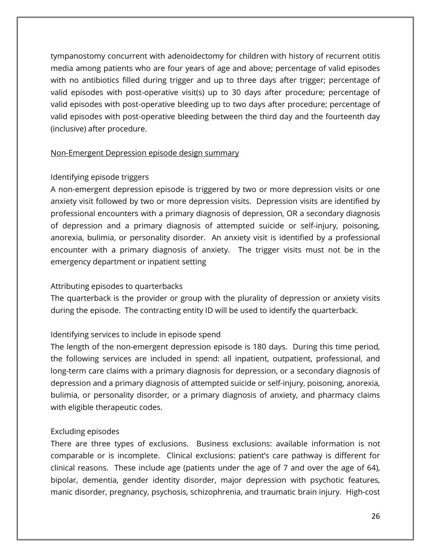tympanostomy concurrent with adenoidectomy for children with history of recurrent otitis media among patients who are four years of age and above; percentage of valid episodes with no antibiotics filled during trigger and up to three days after trigger; percentage of valid episodes with post-operative visit(s) up to 30 days after procedure; percentage of valid episodes with post-operative bleeding up to two days after procedure; percentage of valid episodes with post-operative bleeding between the third day and the fourteenth day (inclusive) after procedure.

#### Non-Emergent Depression episode design summary

# Identifying episode triggers

A non-emergent depression episode is triggered by two or more depression visits or one anxiety visit followed by two or more depression visits. Depression visits are identified by professional encounters with a primary diagnosis of depression, OR a secondary diagnosis of depression and a primary diagnosis of attempted suicide or self-injury, poisoning, anorexia, bulimia, or personality disorder. An anxiety visit is identified by a professional encounter with a primary diagnosis of anxiety. The trigger visits must not be in the emergency department or inpatient setting

# Attributing episodes to quarterbacks

The quarterback is the provider or group with the plurality of depression or anxiety visits during the episode. The contracting entity ID will be used to identify the quarterback.

# Identifying services to include in episode spend

The length of the non-emergent depression episode is 180 days. During this time period, the following services are included in spend: all inpatient, outpatient, professional, and long-term care claims with a primary diagnosis for depression, or a secondary diagnosis of depression and a primary diagnosis of attempted suicide or self-injury, poisoning, anorexia, bulimia, or personality disorder, or a primary diagnosis of anxiety, and pharmacy claims with eligible therapeutic codes.

#### Excluding episodes

There are three types of exclusions. Business exclusions: available information is not comparable or is incomplete. Clinical exclusions: patient's care pathway is different for clinical reasons. These include age (patients under the age of 7 and over the age of 64), bipolar, dementia, gender identity disorder, major depression with psychotic features, manic disorder, pregnancy, psychosis, schizophrenia, and traumatic brain injury. High-cost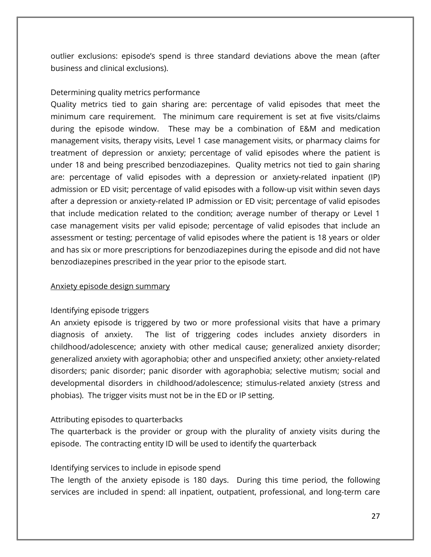outlier exclusions: episode's spend is three standard deviations above the mean (after business and clinical exclusions).

#### Determining quality metrics performance

Quality metrics tied to gain sharing are: percentage of valid episodes that meet the minimum care requirement. The minimum care requirement is set at five visits/claims during the episode window. These may be a combination of E&M and medication management visits, therapy visits, Level 1 case management visits, or pharmacy claims for treatment of depression or anxiety; percentage of valid episodes where the patient is under 18 and being prescribed benzodiazepines. Quality metrics not tied to gain sharing are: percentage of valid episodes with a depression or anxiety-related inpatient (IP) admission or ED visit; percentage of valid episodes with a follow-up visit within seven days after a depression or anxiety-related IP admission or ED visit; percentage of valid episodes that include medication related to the condition; average number of therapy or Level 1 case management visits per valid episode; percentage of valid episodes that include an assessment or testing; percentage of valid episodes where the patient is 18 years or older and has six or more prescriptions for benzodiazepines during the episode and did not have benzodiazepines prescribed in the year prior to the episode start.

#### Anxiety episode design summary

#### Identifying episode triggers

An anxiety episode is triggered by two or more professional visits that have a primary diagnosis of anxiety. The list of triggering codes includes anxiety disorders in childhood/adolescence; anxiety with other medical cause; generalized anxiety disorder; generalized anxiety with agoraphobia; other and unspecified anxiety; other anxiety-related disorders; panic disorder; panic disorder with agoraphobia; selective mutism; social and developmental disorders in childhood/adolescence; stimulus-related anxiety (stress and phobias). The trigger visits must not be in the ED or IP setting.

#### Attributing episodes to quarterbacks

The quarterback is the provider or group with the plurality of anxiety visits during the episode. The contracting entity ID will be used to identify the quarterback

#### Identifying services to include in episode spend

The length of the anxiety episode is 180 days. During this time period, the following services are included in spend: all inpatient, outpatient, professional, and long-term care